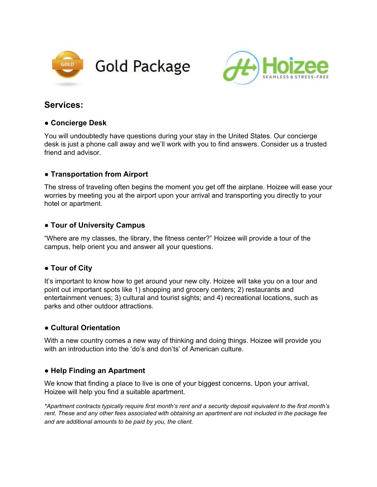



# **Services:**

#### **● Concierge Desk**

You will undoubtedly have questions during your stay in the United States. Our concierge desk is just a phone call away and we'll work with you to find answers. Consider us a trusted friend and advisor.

# **● Transportation from Airport**

The stress of traveling often begins the moment you get off the airplane. Hoizee will ease your worries by meeting you at the airport upon your arrival and transporting you directly to your hotel or apartment.

## **● Tour of University Campus**

"Where are my classes, the library, the fitness center?" Hoizee will provide a tour of the campus, help orient you and answer all your questions.

#### **● Tour of City**

It's important to know how to get around your new city. Hoizee will take you on a tour and point out important spots like 1) shopping and grocery centers; 2) restaurants and entertainment venues; 3) cultural and tourist sights; and 4) recreational locations, such as parks and other outdoor attractions.

#### **● Cultural Orientation**

With a new country comes a new way of thinking and doing things. Hoizee will provide you with an introduction into the 'do's and don'ts' of American culture.

# **● Help Finding an Apartment**

We know that finding a place to live is one of your biggest concerns. Upon your arrival, Hoizee will help you find a suitable apartment.

*\*Apartment contracts typically require first month's rent and a security deposit equivalent to the first month's* rent. These and any other fees associated with obtaining an apartment are not included in the package fee *and are additional amounts to be paid by you, the client.*